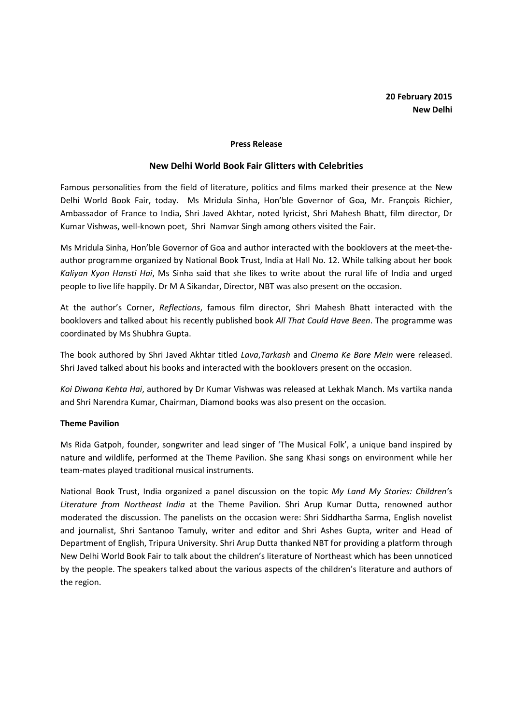#### Press Release

#### New Delhi World Book Fair Glitters with Celebrities

Famous personalities from the field of literature, politics and films marked their presence at the New Delhi World Book Fair, today. Ms Mridula Sinha, Hon'ble Governor of Goa, Mr. François Richier, Ambassador of France to India, Shri Javed Akhtar, noted lyricist, Shri Mahesh Bhatt, film director, Dr Kumar Vishwas, well-known poet, Shri Namvar Singh among others visited the Fair.

Ms Mridula Sinha, Hon'ble Governor of Goa and author interacted with the booklovers at the meet-theauthor programme organized by National Book Trust, India at Hall No. 12. While talking about her book Kaliyan Kyon Hansti Hai, Ms Sinha said that she likes to write about the rural life of India and urged people to live life happily. Dr M A Sikandar, Director, NBT was also present on the occasion.

At the author's Corner, Reflections, famous film director, Shri Mahesh Bhatt interacted with the booklovers and talked about his recently published book All That Could Have Been. The programme was coordinated by Ms Shubhra Gupta.

The book authored by Shri Javed Akhtar titled Lava, Tarkash and Cinema Ke Bare Mein were released. Shri Javed talked about his books and interacted with the booklovers present on the occasion.

Koi Diwana Kehta Hai, authored by Dr Kumar Vishwas was released at Lekhak Manch. Ms vartika nanda and Shri Narendra Kumar, Chairman, Diamond books was also present on the occasion.

#### Theme Pavilion

Ms Rida Gatpoh, founder, songwriter and lead singer of 'The Musical Folk', a unique band inspired by nature and wildlife, performed at the Theme Pavilion. She sang Khasi songs on environment while her team-mates played traditional musical instruments.

National Book Trust, India organized a panel discussion on the topic My Land My Stories: Children's Literature from Northeast India at the Theme Pavilion. Shri Arup Kumar Dutta, renowned author moderated the discussion. The panelists on the occasion were: Shri Siddhartha Sarma, English novelist and journalist, Shri Santanoo Tamuly, writer and editor and Shri Ashes Gupta, writer and Head of Department of English, Tripura University. Shri Arup Dutta thanked NBT for providing a platform through New Delhi World Book Fair to talk about the children's literature of Northeast which has been unnoticed by the people. The speakers talked about the various aspects of the children's literature and authors of the region.